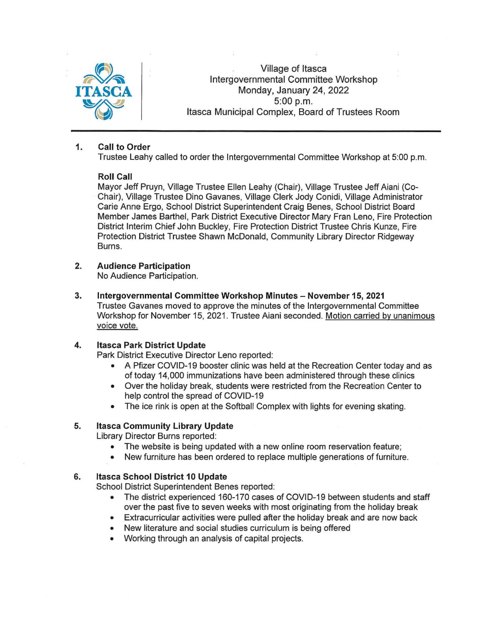

Village of Itasca Intergovernmental Committee Workshop Monday, January 24, 2022 5:00 p.m. Itasca Municipal Complex, Board of Trustees Room

### **1. Call to Order**

Trustee Leahy called to order the Intergovernmental Committee Workshop at 5:00 p.m.

### **Roll Call**

Mayor Jeff Pruyn, Village Trustee Ellen Leahy (Chair), Village Trustee Jeff Aiani (Co-Chair), Village Trustee Dino Gavanes, Village Clerk Jody Conidi, Village Administrator Carie Anne Ergo, School District Superintendent Craig Benes, School District Board Member James Barthel, Park District Executive Director Mary Fran Leno, Fire Protection District Interim Chief John Buckley, Fire Protection District Trustee Chris Kunze, Fire Protection District Trustee Shawn McDonald, Community Library Director Ridgeway Burns.

### **2. Audience Participation**

No Audience Participation.

**3. Intergovernmental Committee Workshop Minutes - November 15, 2021**  Trustee Gavanes moved to approve the minutes of the Intergovernmental Committee Workshop for November 15, 2021 . Trustee Aiani seconded. Motion carried by unanimous voice vote.

# **4. Itasca Park District Update**

Park District Executive Director Leno reported:

- A Pfizer COVID-19 booster clinic was held at the Recreation Center today and as of today 14,000 immunizations have been administered through these clinics
- Over the holiday break, students were restricted from the Recreation Center to help control the spread of COVID-19
- The ice rink is open at the Softball Complex with lights for evening skating.

# **5. Itasca Community Library Update**

Library Director Burns reported:

- The website is being updated with a new online room reservation feature;
- New furniture has been ordered to replace multiple generations of furniture.

# **6. Itasca School District 10 Update**

School District Superintendent Benes reported:

- The district experienced 160-170 cases of COVID-19 between students and staff over the past five to seven weeks with most originating from the holiday break
- Extracurricular activities were pulled after the holiday break and are now back
- New literature and social studies curriculum is being offered
- Working through an analysis of capital projects.